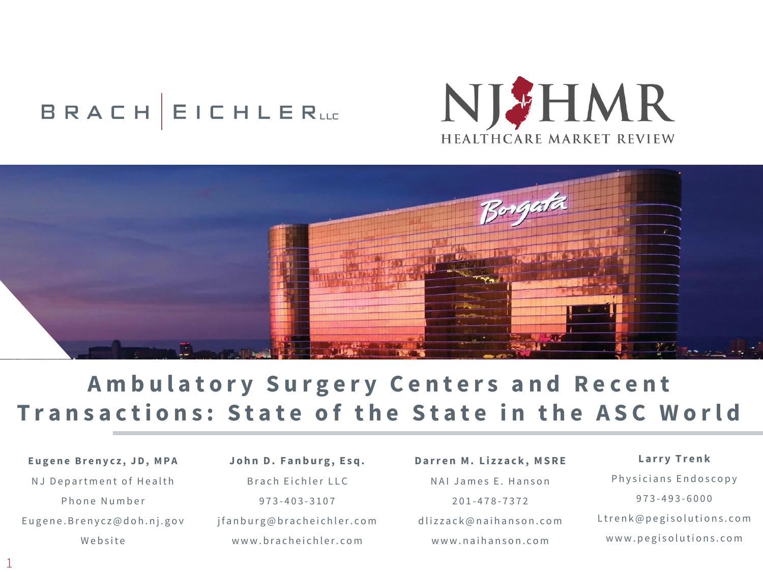# **BRACH EICHLERLLE**





## **Ambulatory Surgery Centers and Recent Transactions: State of the State in the ASC World**

Eugene Brenycz, JD, MPA NJ Department of Health Phone Number Eugene. Brenycz@doh.nj.gov Website

1

John D. Fanburg, Esq. Brach Eichler LLC 973 - 403 - 3 1 0 7 j fan burg @ bracheichler.com www.bracheichler.com

Darren M. Lizzack, MSRE NAI James E. Hanson 201 - 478 - 7 3 7 2 dlizzack@naihanson.com w w w . n a i h a n s o n . c o m

**L a r r y T r e n k** Physicians Endoscopy 973 - 493 - 6 0 0 0 Ltrenk@pegisolutions.com www.pegisolutions.com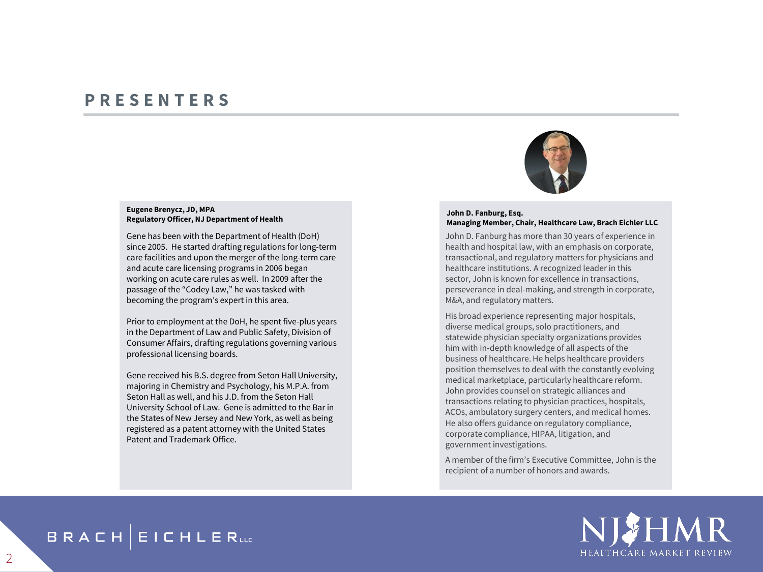### **P R E S E N T E R S**

#### **Eugene Brenycz, JD, MPA Regulatory Officer, NJ Department of Health**

Gene has been with the Department of Health (DoH) since 2005. He started drafting regulations for long-term care facilities and upon the merger of the long-term care and acute care licensing programs in 2006 began working on acute care rules as well. In 2009 after the passage of the "Codey Law," he was tasked with becoming the program's expert in this area.

Prior to employment at the DoH, he spent five-plus years in the Department of Law and Public Safety, Division of Consumer Affairs, drafting regulations governing various professional licensing boards.

Gene received his B.S. degree from Seton Hall University, majoring in Chemistry and Psychology, his M.P.A. from Seton Hall as well, and his J.D. from the Seton Hall University School of Law. Gene is admitted to the Bar in the States of New Jersey and New York, as well as being registered as a patent attorney with the United States Patent and Trademark Office.



#### **John D. Fanburg, Esq. Managing Member, Chair, Healthcare Law, Brach Eichler LLC**

John D. Fanburg has more than 30 years of experience in health and hospital law, with an emphasis on corporate, transactional, and regulatory matters for physicians and healthcare institutions. A recognized leader in this sector, John is known for excellence in transactions, perseverance in deal-making, and strength in corporate, M&A, and regulatory matters.

His broad experience representing major hospitals, diverse medical groups, solo practitioners, and statewide physician specialty organizations provides him with in-depth knowledge of all aspects of the business of healthcare. He helps healthcare providers position themselves to deal with the constantly evolving medical marketplace, particularly healthcare reform. John provides counsel on strategic alliances and transactions relating to physician practices, hospitals, ACOs, ambulatory surgery centers, and medical homes. He also offers guidance on regulatory compliance, corporate compliance, HIPAA, litigation, and government investigations.

A member of the firm's Executive Committee, John is the recipient of a number of honors and awards.



### **BRACH EICHLERLLE**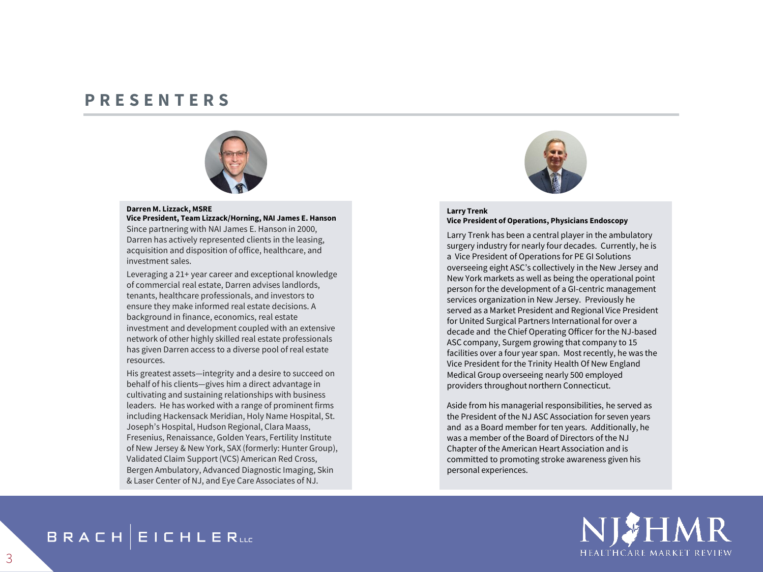### **P R E S E N T E R S**



#### **Darren M. Lizzack, MSRE Vice President, Team Lizzack/Horning, NAI James E. Hanson**

Since partnering with NAI James E. Hanson in 2000, Darren has actively represented clients in the leasing, acquisition and disposition of office, healthcare, and investment sales.

Leveraging a 21+ year career and exceptional knowledge of commercial real estate, Darren advises landlords, tenants, healthcare professionals, and investors to ensure they make informed real estate decisions. A background in finance, economics, real estate investment and development coupled with an extensive network of other highly skilled real estate professionals has given Darren access to a diverse pool of real estate resources.

His greatest assets—integrity and a desire to succeed on behalf of his clients—gives him a direct advantage in cultivating and sustaining relationships with business leaders. He has worked with a range of prominent firms including Hackensack Meridian, Holy Name Hospital, St. Joseph's Hospital, Hudson Regional, Clara Maass, Fresenius, Renaissance, Golden Years, Fertility Institute of New Jersey & New York, SAX (formerly: Hunter Group), Validated Claim Support (VCS) American Red Cross, Bergen Ambulatory, Advanced Diagnostic Imaging, Skin & Laser Center of NJ, and Eye Care Associates of NJ.



#### **Larry Trenk Vice President of Operations, Physicians Endoscopy**

Larry Trenk has been a central player in the ambulatory surgery industry for nearly four decades. Currently, he is a Vice President of Operations for PE GI Solutions overseeing eight ASC's collectively in the New Jersey and New York markets as well as being the operational point person for the development of a GI-centric management services organization in New Jersey. Previously he served as a Market President and Regional Vice President for United Surgical Partners International for over a decade and the Chief Operating Officer for the NJ-based ASC company, Surgem growing that company to 15 facilities over a four year span. Most recently, he was the Vice President for the Trinity Health Of New England Medical Group overseeing nearly 500 employed providers throughout northern Connecticut.

Aside from his managerial responsibilities, he served as the President of the NJ ASC Association for seven years and as a Board member for ten years. Additionally, he was a member of the Board of Directors of the NJ Chapter of the American Heart Association and is committed to promoting stroke awareness given his personal experiences.



### **BRACH EICHLERLLE**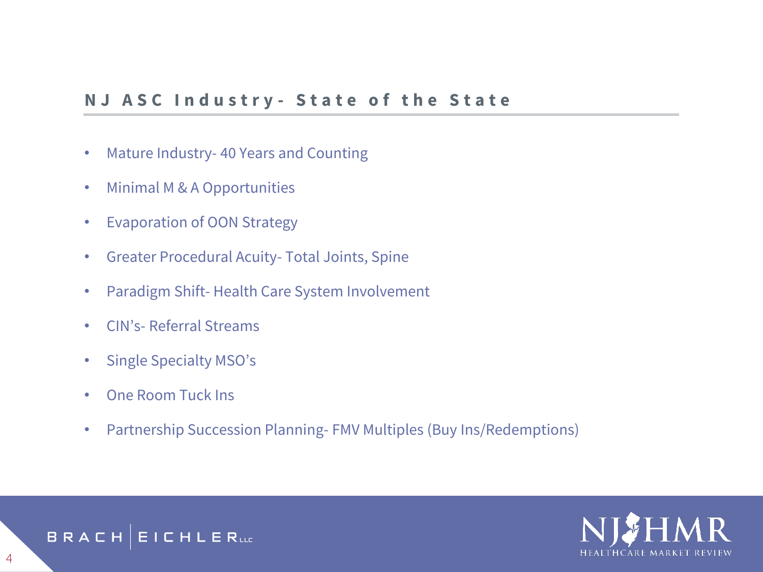### **N J A S C I n d u s t r y - S t a t e o f t h e S t a t e**

- Mature Industry- 40 Years and Counting
- Minimal M & A Opportunities
- Evaporation of OON Strategy
- Greater Procedural Acuity- Total Joints, Spine
- Paradigm Shift- Health Care System Involvement
- CIN's- Referral Streams
- Single Specialty MSO's
- One Room Tuck Ins
- Partnership Succession Planning- FMV Multiples (Buy Ins/Redemptions)



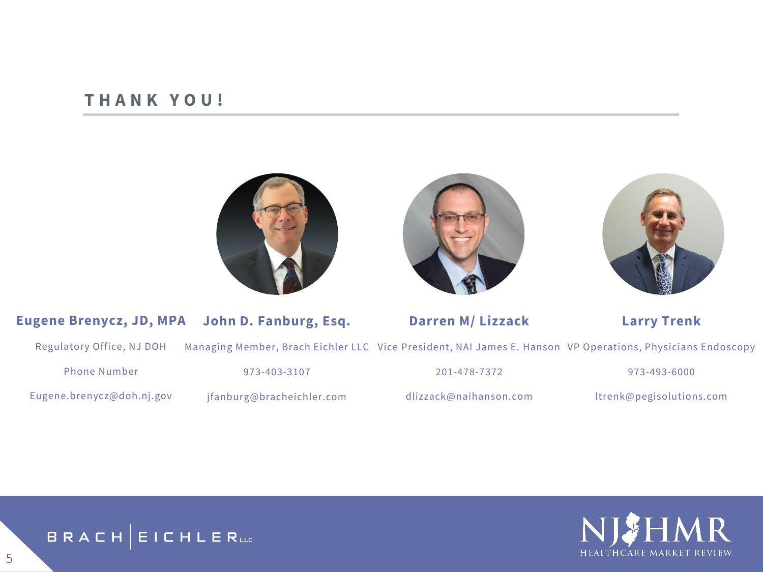### **T H A N K Y O U !**







#### **Eugene Brenycz, JD, MPA John D. Fanburg, Esq.**

Managing Member, Brach Eichler LLC Vice President, NAI James E. Hanson VP Operations, Physicians Endoscopy

Regulatory Office, NJ DOH

Eugene.brenycz@doh.nj.gov

Phone Number

973-403-3107

jfanburg@bracheichler.com

201-478-7372

**Darren M/ Lizzack**

dlizzack@naihanson.com

973-493-6000

**Larry Trenk**

ltrenk@pegisolutions.com





5